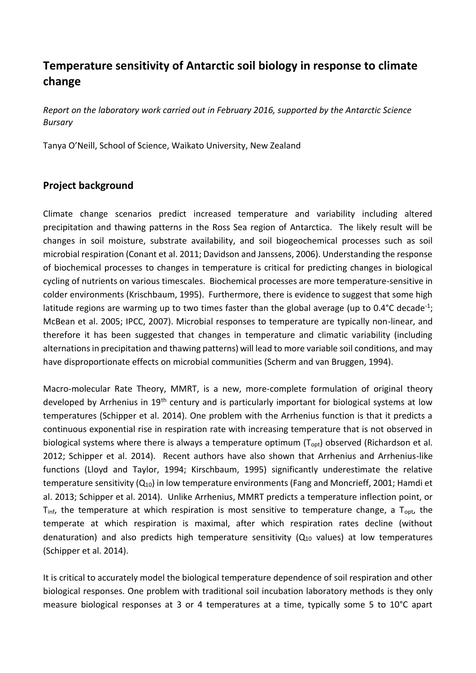# **Temperature sensitivity of Antarctic soil biology in response to climate change**

*Report on the laboratory work carried out in February 2016, supported by the Antarctic Science Bursary*

Tanya O'Neill, School of Science, Waikato University, New Zealand

# **Project background**

Climate change scenarios predict increased temperature and variability including altered precipitation and thawing patterns in the Ross Sea region of Antarctica. The likely result will be changes in soil moisture, substrate availability, and soil biogeochemical processes such as soil microbial respiration (Conant et al. 2011; Davidson and Janssens, 2006). Understanding the response of biochemical processes to changes in temperature is critical for predicting changes in biological cycling of nutrients on various timescales. Biochemical processes are more temperature-sensitive in colder environments (Krischbaum, 1995). Furthermore, there is evidence to suggest that some high latitude regions are warming up to two times faster than the global average (up to  $0.4^{\circ}$ C decade<sup>-1</sup>; McBean et al. 2005; IPCC, 2007). Microbial responses to temperature are typically non-linear, and therefore it has been suggested that changes in temperature and climatic variability (including alternations in precipitation and thawing patterns) will lead to more variable soil conditions, and may have disproportionate effects on microbial communities (Scherm and van Bruggen, 1994).

Macro-molecular Rate Theory, MMRT, is a new, more-complete formulation of original theory developed by Arrhenius in 19<sup>th</sup> century and is particularly important for biological systems at low temperatures (Schipper et al. 2014). One problem with the Arrhenius function is that it predicts a continuous exponential rise in respiration rate with increasing temperature that is not observed in biological systems where there is always a temperature optimum  $(T_{\text{oot}})$  observed (Richardson et al. 2012; Schipper et al. 2014). Recent authors have also shown that Arrhenius and Arrhenius-like functions (Lloyd and Taylor, 1994; Kirschbaum, 1995) significantly underestimate the relative temperature sensitivity  $(Q_{10})$  in low temperature environments (Fang and Moncrieff, 2001; Hamdi et al. 2013; Schipper et al. 2014). Unlike Arrhenius, MMRT predicts a temperature inflection point, or  $T_{\text{inf}}$ , the temperature at which respiration is most sensitive to temperature change, a  $T_{\text{opt}}$ , the temperate at which respiration is maximal, after which respiration rates decline (without denaturation) and also predicts high temperature sensitivity  $(Q_{10}$  values) at low temperatures (Schipper et al. 2014).

It is critical to accurately model the biological temperature dependence of soil respiration and other biological responses. One problem with traditional soil incubation laboratory methods is they only measure biological responses at 3 or 4 temperatures at a time, typically some 5 to 10°C apart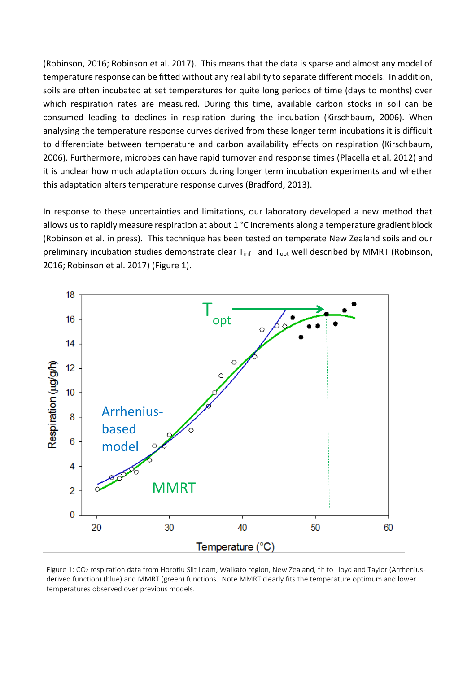(Robinson, 2016; Robinson et al. 2017). This means that the data is sparse and almost any model of temperature response can be fitted without any real ability to separate different models. In addition, soils are often incubated at set temperatures for quite long periods of time (days to months) over which respiration rates are measured. During this time, available carbon stocks in soil can be consumed leading to declines in respiration during the incubation (Kirschbaum, 2006). When analysing the temperature response curves derived from these longer term incubations it is difficult to differentiate between temperature and carbon availability effects on respiration (Kirschbaum, 2006). Furthermore, microbes can have rapid turnover and response times (Placella et al. 2012) and it is unclear how much adaptation occurs during longer term incubation experiments and whether this adaptation alters temperature response curves (Bradford, 2013).

In response to these uncertainties and limitations, our laboratory developed a new method that allows us to rapidly measure respiration at about 1 °C increments along a temperature gradient block (Robinson et al. in press). This technique has been tested on temperate New Zealand soils and our preliminary incubation studies demonstrate clear T<sub>inf</sub> and T<sub>opt</sub> well described by MMRT (Robinson, 2016; Robinson et al. 2017) (Figure 1).



Figure 1: CO<sub>2</sub> respiration data from Horotiu Silt Loam, Waikato region, New Zealand, fit to Lloyd and Taylor (Arrheniusderived function) (blue) and MMRT (green) functions. Note MMRT clearly fits the temperature optimum and lower temperatures observed over previous models.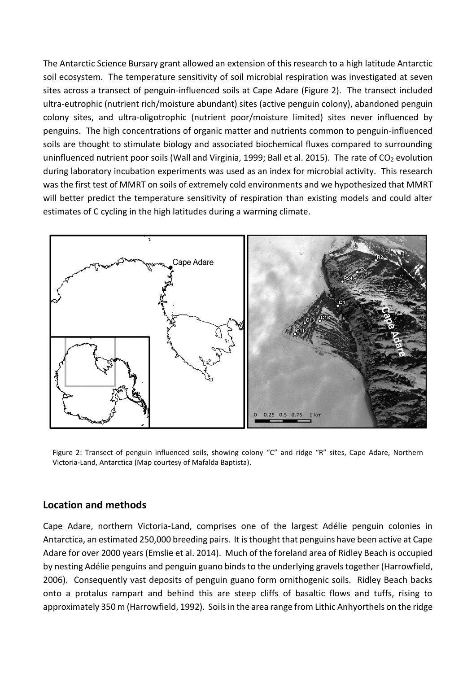The Antarctic Science Bursary grant allowed an extension of this research to a high latitude Antarctic soil ecosystem. The temperature sensitivity of soil microbial respiration was investigated at seven sites across a transect of penguin-influenced soils at Cape Adare (Figure 2). The transect included ultra-eutrophic (nutrient rich/moisture abundant) sites (active penguin colony), abandoned penguin colony sites, and ultra-oligotrophic (nutrient poor/moisture limited) sites never influenced by penguins. The high concentrations of organic matter and nutrients common to penguin-influenced soils are thought to stimulate biology and associated biochemical fluxes compared to surrounding uninfluenced nutrient poor soils (Wall and Virginia, 1999; Ball et al. 2015). The rate of CO<sub>2</sub> evolution during laboratory incubation experiments was used as an index for microbial activity. This research was the first test of MMRT on soils of extremely cold environments and we hypothesized that MMRT will better predict the temperature sensitivity of respiration than existing models and could alter estimates of C cycling in the high latitudes during a warming climate.



Figure 2: Transect of penguin influenced soils, showing colony "C" and ridge "R" sites, Cape Adare, Northern Victoria-Land, Antarctica (Map courtesy of Mafalda Baptista).

## **Location and methods**

Cape Adare, northern Victoria-Land, comprises one of the largest Adélie penguin colonies in Antarctica, an estimated 250,000 breeding pairs. It is thought that penguins have been active at Cape Adare for over 2000 years (Emslie et al. 2014). Much of the foreland area of Ridley Beach is occupied by nesting Adélie penguins and penguin guano binds to the underlying gravels together (Harrowfield, 2006). Consequently vast deposits of penguin guano form ornithogenic soils. Ridley Beach backs onto a protalus rampart and behind this are steep cliffs of basaltic flows and tuffs, rising to approximately 350 m (Harrowfield, 1992). Soils in the area range from Lithic Anhyorthels on the ridge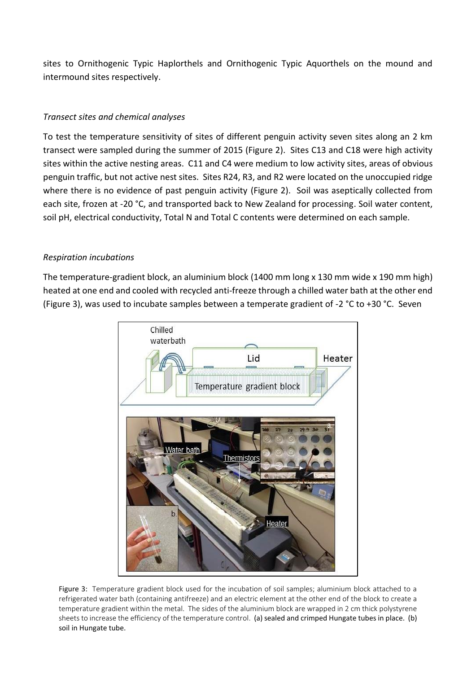sites to Ornithogenic Typic Haplorthels and Ornithogenic Typic Aquorthels on the mound and intermound sites respectively.

### *Transect sites and chemical analyses*

To test the temperature sensitivity of sites of different penguin activity seven sites along an 2 km transect were sampled during the summer of 2015 (Figure 2). Sites C13 and C18 were high activity sites within the active nesting areas. C11 and C4 were medium to low activity sites, areas of obvious penguin traffic, but not active nest sites. Sites R24, R3, and R2 were located on the unoccupied ridge where there is no evidence of past penguin activity (Figure 2). Soil was aseptically collected from each site, frozen at -20 °C, and transported back to New Zealand for processing. Soil water content, soil pH, electrical conductivity, Total N and Total C contents were determined on each sample.

#### *Respiration incubations*

The temperature-gradient block, an aluminium block (1400 mm long x 130 mm wide x 190 mm high) heated at one end and cooled with recycled anti-freeze through a chilled water bath at the other end (Figure 3), was used to incubate samples between a temperate gradient of -2 °C to +30 °C. Seven



Figure 3: Temperature gradient block used for the incubation of soil samples; aluminium block attached to a refrigerated water bath (containing antifreeze) and an electric element at the other end of the block to create a temperature gradient within the metal. The sides of the aluminium block are wrapped in 2 cm thick polystyrene sheets to increase the efficiency of the temperature control. (a) sealed and crimped Hungate tubes in place. (b) soil in Hungate tube.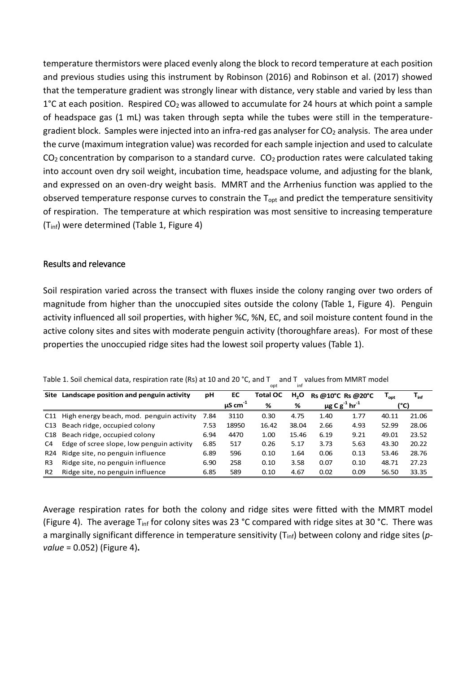temperature thermistors were placed evenly along the block to record temperature at each position and previous studies using this instrument by Robinson (2016) and Robinson et al. (2017) showed that the temperature gradient was strongly linear with distance, very stable and varied by less than  $1^{\circ}$ C at each position. Respired CO<sub>2</sub> was allowed to accumulate for 24 hours at which point a sample of headspace gas (1 mL) was taken through septa while the tubes were still in the temperaturegradient block. Samples were injected into an infra-red gas analyser for CO<sub>2</sub> analysis. The area under the curve (maximum integration value) was recorded for each sample injection and used to calculate  $CO<sub>2</sub>$  concentration by comparison to a standard curve.  $CO<sub>2</sub>$  production rates were calculated taking into account oven dry soil weight, incubation time, headspace volume, and adjusting for the blank, and expressed on an oven-dry weight basis. MMRT and the Arrhenius function was applied to the observed temperature response curves to constrain the  $T_{\text{opt}}$  and predict the temperature sensitivity of respiration. The temperature at which respiration was most sensitive to increasing temperature (Tinf) were determined (Table 1, Figure 4)

#### Results and relevance

Soil respiration varied across the transect with fluxes inside the colony ranging over two orders of magnitude from higher than the unoccupied sites outside the colony (Table 1, Figure 4). Penguin activity influenced all soil properties, with higher %C, %N, EC, and soil moisture content found in the active colony sites and sites with moderate penguin activity (thoroughfare areas). For most of these properties the unoccupied ridge sites had the lowest soil property values (Table 1).

| Table 1. Soil chemical data, respiration rate (Rs) at 10 and 20 °C, and T and T values from MMRT model |  |  |     |  |
|--------------------------------------------------------------------------------------------------------|--|--|-----|--|
|                                                                                                        |  |  | inf |  |

|                 | Site Landscape position and penguin activity |      | EC                       | Total OC | H <sub>2</sub> O | Rs @10°C Rs @20°C              |      | $\mathsf{T}_{\mathsf{opt}}$ | $T_{\text{inf}}$ |
|-----------------|----------------------------------------------|------|--------------------------|----------|------------------|--------------------------------|------|-----------------------------|------------------|
|                 |                                              |      | $\mu$ S cm <sup>-1</sup> | %        | %                | μg C $g^{-1}$ hr <sup>-1</sup> |      | (°C)                        |                  |
| C <sub>11</sub> | High energy beach, mod. penguin activity     | 7.84 | 3110                     | 0.30     | 4.75             | 1.40                           | 1.77 | 40.11                       | 21.06            |
|                 | C13 Beach ridge, occupied colony             |      | 18950                    | 16.42    | 38.04            | 2.66                           | 4.93 | 52.99                       | 28.06            |
|                 | C18 Beach ridge, occupied colony             |      | 4470                     | 1.00     | 15.46            | 6.19                           | 9.21 | 49.01                       | 23.52            |
| C4              | Edge of scree slope, low penguin activity    | 6.85 | 517                      | 0.26     | 5.17             | 3.73                           | 5.63 | 43.30                       | 20.22            |
| R <sub>24</sub> | Ridge site, no penguin influence             | 6.89 | 596                      | 0.10     | 1.64             | 0.06                           | 0.13 | 53.46                       | 28.76            |
| R <sub>3</sub>  | Ridge site, no penguin influence             |      | 258                      | 0.10     | 3.58             | 0.07                           | 0.10 | 48.71                       | 27.23            |
| R <sub>2</sub>  | Ridge site, no penguin influence             | 6.85 | 589                      | 0.10     | 4.67             | 0.02                           | 0.09 | 56.50                       | 33.35            |

Average respiration rates for both the colony and ridge sites were fitted with the MMRT model (Figure 4). The average T<sub>inf</sub> for colony sites was 23 °C compared with ridge sites at 30 °C. There was a marginally significant difference in temperature sensitivity (Tinf) between colony and ridge sites (*pvalue* = 0.052) (Figure 4)**.**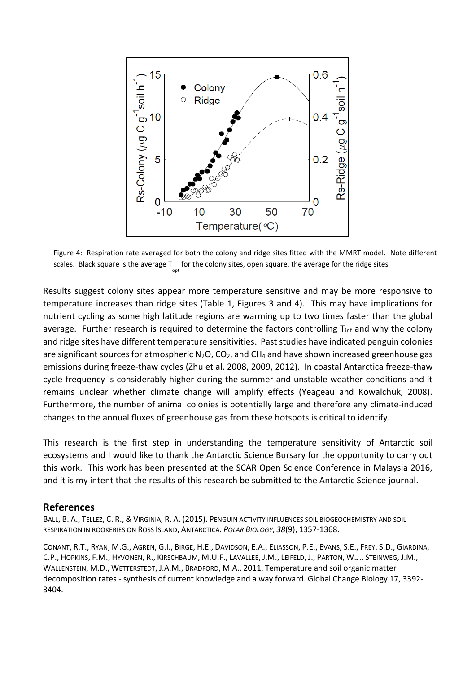

Figure 4: Respiration rate averaged for both the colony and ridge sites fitted with the MMRT model. Note different scales. Black square is the average  $\mathsf{T}_{\mathsf{opt}}$  for the colony sites, open square, the average for the ridge sites

Results suggest colony sites appear more temperature sensitive and may be more responsive to temperature increases than ridge sites (Table 1, Figures 3 and 4). This may have implications for nutrient cycling as some high latitude regions are warming up to two times faster than the global average. Further research is required to determine the factors controlling  $T_{\text{inf}}$  and why the colony and ridge sites have different temperature sensitivities. Past studies have indicated penguin colonies are significant sources for atmospheric  $N_2O$ ,  $CO_2$ , and  $CH_4$  and have shown increased greenhouse gas emissions during freeze-thaw cycles (Zhu et al. 2008, 2009, 2012). In coastal Antarctica freeze-thaw cycle frequency is considerably higher during the summer and unstable weather conditions and it remains unclear whether climate change will amplify effects (Yeageau and Kowalchuk, 2008). Furthermore, the number of animal colonies is potentially large and therefore any climate-induced changes to the annual fluxes of greenhouse gas from these hotspots is critical to identify.

This research is the first step in understanding the temperature sensitivity of Antarctic soil ecosystems and I would like to thank the Antarctic Science Bursary for the opportunity to carry out this work. This work has been presented at the SCAR Open Science Conference in Malaysia 2016, and it is my intent that the results of this research be submitted to the Antarctic Science journal.

#### **References**

BALL, B. A., TELLEZ, C. R., & VIRGINIA, R. A. (2015). PENGUIN ACTIVITY INFLUENCES SOIL BIOGEOCHEMISTRY AND SOIL RESPIRATION IN ROOKERIES ON ROSS ISLAND, ANTARCTICA. *POLAR BIOLOGY*, *38*(9), 1357-1368.

CONANT, R.T., RYAN, M.G., AGREN, G.I., BIRGE, H.E., DAVIDSON, E.A., ELIASSON, P.E., EVANS, S.E., FREY, S.D., GIARDINA, C.P., HOPKINS, F.M., HYVONEN, R., KIRSCHBAUM, M.U.F., LAVALLEE, J.M., LEIFELD, J., PARTON, W.J., STEINWEG, J.M., WALLENSTEIN, M.D., WETTERSTEDT, J.A.M., BRADFORD, M.A., 2011. Temperature and soil organic matter decomposition rates - synthesis of current knowledge and a way forward. Global Change Biology 17, 3392- 3404.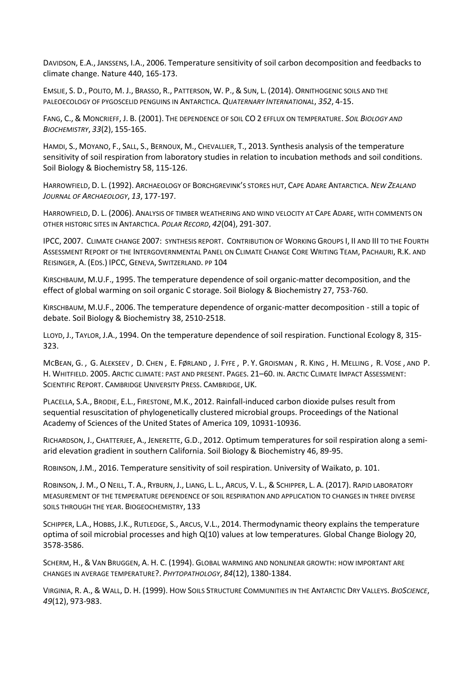DAVIDSON, E.A., JANSSENS, I.A., 2006. Temperature sensitivity of soil carbon decomposition and feedbacks to climate change. Nature 440, 165-173.

EMSLIE, S. D., POLITO, M. J., BRASSO, R., PATTERSON, W. P., & SUN, L. (2014). ORNITHOGENIC SOILS AND THE PALEOECOLOGY OF PYGOSCELID PENGUINS IN ANTARCTICA. *QUATERNARY INTERNATIONAL*, *352*, 4-15.

FANG, C., & MONCRIEFF, J. B. (2001). THE DEPENDENCE OF SOIL CO 2 EFFLUX ON TEMPERATURE. *SOIL BIOLOGY AND BIOCHEMISTRY*, *33*(2), 155-165.

HAMDI, S., MOYANO, F., SALL, S., BERNOUX, M., CHEVALLIER, T., 2013. Synthesis analysis of the temperature sensitivity of soil respiration from laboratory studies in relation to incubation methods and soil conditions. Soil Biology & Biochemistry 58, 115-126.

HARROWFIELD, D. L. (1992). ARCHAEOLOGY OF BORCHGREVINK'S STORES HUT, CAPE ADARE ANTARCTICA. *NEW ZEALAND JOURNAL OF ARCHAEOLOGY*, *13*, 177-197.

HARROWFIELD, D. L. (2006). ANALYSIS OF TIMBER WEATHERING AND WIND VELOCITY AT CAPE ADARE, WITH COMMENTS ON OTHER HISTORIC SITES IN ANTARCTICA. *POLAR RECORD*, *42*(04), 291-307.

IPCC, 2007. CLIMATE CHANGE 2007: SYNTHESIS REPORT. CONTRIBUTION OF WORKING GROUPS I, II AND III TO THE FOURTH ASSESSMENT REPORT OF THE INTERGOVERNMENTAL PANEL ON CLIMATE CHANGE CORE WRITING TEAM, PACHAURI, R.K. AND REISINGER, A. (EDS.) IPCC, GENEVA, SWITZERLAND. PP 104

KIRSCHBAUM, M.U.F., 1995. The temperature dependence of soil organic-matter decomposition, and the effect of global warming on soil organic C storage. Soil Biology & Biochemistry 27, 753-760.

KIRSCHBAUM, M.U.F., 2006. The temperature dependence of organic-matter decomposition - still a topic of debate. Soil Biology & Biochemistry 38, 2510-2518.

LLOYD, J., TAYLOR, J.A., 1994. On the temperature dependence of soil respiration. Functional Ecology 8, 315- 323.

MCBEAN, G. , G. ALEKSEEV , D. CHEN , E. FØRLAND , J. FYFE , P. Y. GROISMAN , R. KING , H. MELLING , R. VOSE , AND P. H. WHITFIELD. 2005. ARCTIC CLIMATE: PAST AND PRESENT. PAGES. 21–60. IN. ARCTIC CLIMATE IMPACT ASSESSMENT: SCIENTIFIC REPORT. CAMBRIDGE UNIVERSITY PRESS. CAMBRIDGE, UK.

PLACELLA, S.A., BRODIE, E.L., FIRESTONE, M.K., 2012. Rainfall-induced carbon dioxide pulses result from sequential resuscitation of phylogenetically clustered microbial groups. Proceedings of the National Academy of Sciences of the United States of America 109, 10931-10936.

RICHARDSON, J., CHATTERJEE, A., JENERETTE, G.D., 2012. Optimum temperatures for soil respiration along a semiarid elevation gradient in southern California. Soil Biology & Biochemistry 46, 89-95.

ROBINSON, J.M., 2016. Temperature sensitivity of soil respiration. University of Waikato, p. 101.

ROBINSON, J. M., O NEILL, T. A., RYBURN, J., LIANG, L. L., ARCUS, V. L., & SCHIPPER, L. A. (2017). RAPID LABORATORY MEASUREMENT OF THE TEMPERATURE DEPENDENCE OF SOIL RESPIRATION AND APPLICATION TO CHANGES IN THREE DIVERSE SOILS THROUGH THE YEAR. BIOGEOCHEMISTRY, 133

SCHIPPER, L.A., HOBBS, J.K., RUTLEDGE, S., ARCUS, V.L., 2014. Thermodynamic theory explains the temperature optima of soil microbial processes and high Q(10) values at low temperatures. Global Change Biology 20, 3578-3586.

SCHERM, H., & VAN BRUGGEN, A. H. C. (1994). GLOBAL WARMING AND NONLINEAR GROWTH: HOW IMPORTANT ARE CHANGES IN AVERAGE TEMPERATURE?. *PHYTOPATHOLOGY*, *84*(12), 1380-1384.

VIRGINIA, R. A., & WALL, D. H. (1999). HOW SOILS STRUCTURE COMMUNITIES IN THE ANTARCTIC DRY VALLEYS. *BIOSCIENCE*, *49*(12), 973-983.